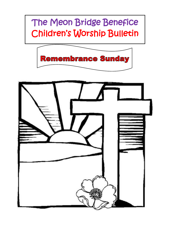## The Meon Bridge Benefice Children's Worship Bulletin

**Remembrance Sunday** 

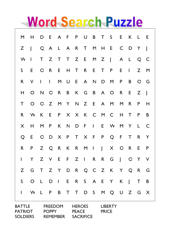## Word Search Puzzle

|                                                    | M              | Н                        | D                                                 | Е              | A              | F            | P                                                 | U            | B                                                                                                          | T                              | S                        | Е              | Κ            | L            | E                        |
|----------------------------------------------------|----------------|--------------------------|---------------------------------------------------|----------------|----------------|--------------|---------------------------------------------------|--------------|------------------------------------------------------------------------------------------------------------|--------------------------------|--------------------------|----------------|--------------|--------------|--------------------------|
|                                                    | Z              | $\overline{\phantom{a}}$ | Q                                                 | A              | L              | A            | $\mathsf{R}$                                      | Τ            | $\mathsf{M}% _{T}=\mathsf{M}_{T}\!\left( a,b\right) ,\ \mathsf{M}_{T}=\mathsf{M}_{T}\!\left( a,b\right) ,$ | Н                              | E                        | C              | D            | Y            | $\overline{\phantom{a}}$ |
|                                                    | W              | I                        | T                                                 | Z              | T              | $\mathsf{T}$ | Z                                                 | Е            | M                                                                                                          | Z                              | $\overline{\phantom{a}}$ | A              | L            | Q            | $\mathsf{C}$             |
|                                                    | S              | Е                        | O                                                 | $\mathsf{R}$   | Е              | Н            | T                                                 | R            | Е                                                                                                          | T                              | P                        | Е              | I            | Z            | M                        |
|                                                    | R              | ٧                        | $\overline{1}$                                    | $\overline{1}$ | M              | U            | E                                                 | A            | N                                                                                                          | D                              | M                        | P              | B            | $\circ$      | G                        |
|                                                    | Н              | O                        | N                                                 | $\circ$        | R              | B            | K                                                 | G            | В                                                                                                          | A                              | O                        | R              | Е            | Z            | J                        |
|                                                    | T              | O                        | O                                                 | Z              | M              | Y            | $\mathsf{N}$                                      | Z            | E                                                                                                          | A                              | M                        | M              | $\mathsf{R}$ | P            | н                        |
|                                                    | $\mathsf{R}$   | W                        | K                                                 | E              | P              | X            | $\times$                                          | K            | $\mathsf{C}$                                                                                               | M                              | $\mathsf{C}$             | Н              | $\mathsf T$  | P            | B                        |
|                                                    | X              | Н                        | M                                                 | P              | K              | $\mathsf{N}$ | D                                                 | F            | $\overline{1}$                                                                                             | E                              | W                        | M              | Y            | L            | $\mathsf{C}$             |
|                                                    | Q              | E                        | O                                                 | D              | X              | P            | $\mathsf T$                                       | X            | F                                                                                                          | P                              | Q                        | F              | T            | $\mathsf{R}$ | Y                        |
|                                                    | $\mathsf{R}$   | P                        | Z                                                 | Q              | R              | K            | R                                                 | M            | $\mathsf{I}$                                                                                               | $\overline{1}$                 | X                        | $\circ$        | R            | E            | P                        |
|                                                    | $\overline{1}$ | Y                        | Z                                                 | V              | E              | F            | $\mathsf{Z}$                                      | $\mathsf{l}$ | $\mathsf R$                                                                                                | $\mathsf{R}$                   | G                        | $\overline{1}$ | $\circ$      | Y            | V                        |
|                                                    | Z              | G                        | T                                                 | Z              | Y              | D            | $\sf R$                                           | Q            | $\mathsf{C}$                                                                                               | Z                              | K                        | Υ              | Q            | $\mathsf{R}$ | G                        |
|                                                    | S              | O                        | L                                                 | D              | $\overline{1}$ | E            | $\mathsf R$                                       | $\mathsf S$  | A                                                                                                          | E                              | Υ                        | K              | J            | T            | B                        |
|                                                    | I              | W                        | L                                                 | P              | B              | T            | T                                                 | D            | $\mathsf S$                                                                                                | M                              | Q                        | U              | Z            | G            | X                        |
| <b>BATTLE</b><br><b>PATRIOT</b><br><b>SOLDIERS</b> |                |                          | <b>FREEDOM</b><br><b>POPPY</b><br><b>REMEMBER</b> |                |                |              | <b>HEROES</b><br><b>PEACE</b><br><b>SACRIFICE</b> |              |                                                                                                            | <b>LIBERTY</b><br><b>PRICE</b> |                          |                |              |              |                          |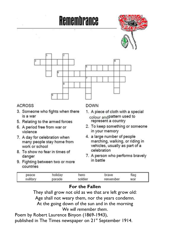

| peace | holiday | ero     | brave    | flag |  |
|-------|---------|---------|----------|------|--|
|       | parade  | soldier | remember | war  |  |

## **For the Fallen**

They shall grow not old as we that are left grow old: Age shall not weary them, nor the years condemn. At the going down of the sun and in the morning *We will remember them*.

Poem by Robert Laurence Binyon (1869-1943), published in The Times newspaper on 21st September 1914.